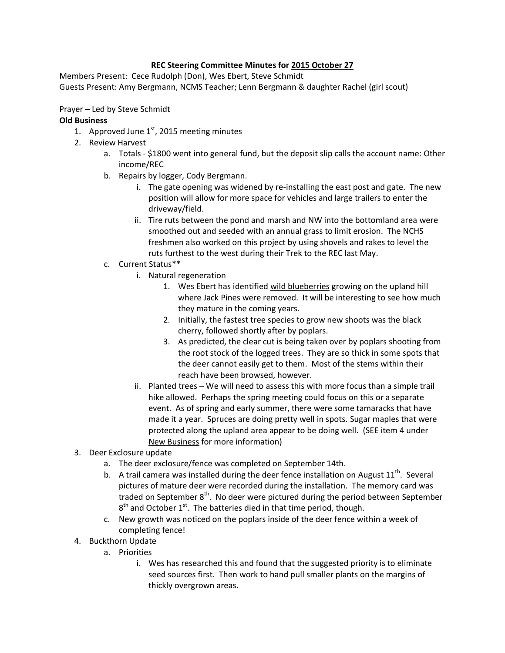## **REC Steering Committee Minutes for 2015 October 27**

Members Present: Cece Rudolph (Don), Wes Ebert, Steve Schmidt Guests Present: Amy Bergmann, NCMS Teacher; Lenn Bergmann & daughter Rachel (girl scout)

Prayer – Led by Steve Schmidt

## **Old Business**

- 1. Approved June  $1<sup>st</sup>$ , 2015 meeting minutes
- 2. Review Harvest
	- a. Totals \$1800 went into general fund, but the deposit slip calls the account name: Other income/REC
	- b. Repairs by logger, Cody Bergmann.
		- i. The gate opening was widened by re-installing the east post and gate. The new position will allow for more space for vehicles and large trailers to enter the driveway/field.
		- ii. Tire ruts between the pond and marsh and NW into the bottomland area were smoothed out and seeded with an annual grass to limit erosion. The NCHS freshmen also worked on this project by using shovels and rakes to level the ruts furthest to the west during their Trek to the REC last May.
	- c. Current Status\*\*
		- i. Natural regeneration
			- 1. Wes Ebert has identified wild blueberries growing on the upland hill where Jack Pines were removed. It will be interesting to see how much they mature in the coming years.
			- 2. Initially, the fastest tree species to grow new shoots was the black cherry, followed shortly after by poplars.
			- 3. As predicted, the clear cut is being taken over by poplars shooting from the root stock of the logged trees. They are so thick in some spots that the deer cannot easily get to them. Most of the stems within their reach have been browsed, however.
		- ii. Planted trees We will need to assess this with more focus than a simple trail hike allowed. Perhaps the spring meeting could focus on this or a separate event. As of spring and early summer, there were some tamaracks that have made it a year. Spruces are doing pretty well in spots. Sugar maples that were protected along the upland area appear to be doing well. (SEE item 4 under New Business for more information)
- 3. Deer Exclosure update
	- a. The deer exclosure/fence was completed on September 14th.
	- b. A trail camera was installed during the deer fence installation on August  $11^{\text{th}}$ . Several pictures of mature deer were recorded during the installation. The memory card was traded on September  $8<sup>th</sup>$ . No deer were pictured during the period between September  $8<sup>th</sup>$  and October 1<sup>st</sup>. The batteries died in that time period, though.
	- c. New growth was noticed on the poplars inside of the deer fence within a week of completing fence!
- 4. Buckthorn Update
	- a. Priorities
		- i. Wes has researched this and found that the suggested priority is to eliminate seed sources first. Then work to hand pull smaller plants on the margins of thickly overgrown areas.